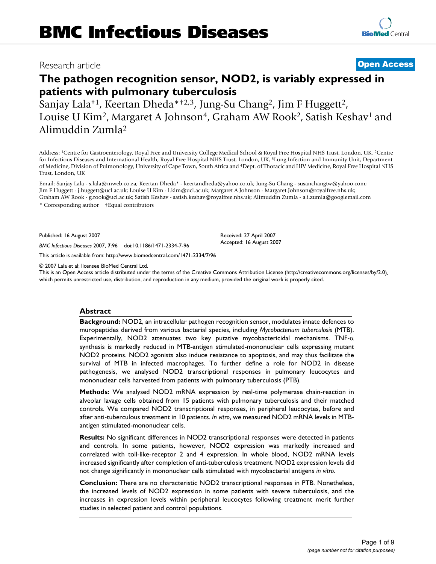# Research article **[Open Access](http://www.biomedcentral.com/info/about/charter/)**

# **The pathogen recognition sensor, NOD2, is variably expressed in patients with pulmonary tuberculosis**

Sanjay Lala†1, Keertan Dheda\*†2,3, Jung-Su Chang2, Jim F Huggett2, Louise U Kim<sup>2</sup>, Margaret A Johnson<sup>4</sup>, Graham AW Rook<sup>2</sup>, Satish Keshav<sup>1</sup> and Alimuddin Zumla2

Address: 1Centre for Gastroenterology, Royal Free and University College Medical School & Royal Free Hospital NHS Trust, London, UK, 2Centre for Infectious Diseases and International Health, Royal Free Hospital NHS Trust, London, UK, 3Lung Infection and Immunity Unit, Department of Medicine, Division of Pulmonology, University of Cape Town, South Africa and 4Dept. of Thoracic and HIV Medicine, Royal Free Hospital NHS Trust, London, UK

Email: Sanjay Lala - s.lala@mweb.co.za; Keertan Dheda\* - keertandheda@yahoo.co.uk; Jung-Su Chang - susanchangtw@yahoo.com; Jim F Huggett - j.huggett@ucl.ac.uk; Louise U Kim - l.kim@ucl.ac.uk; Margaret A Johnson - Margaret.Johnson@royalfree.nhs.uk; Graham AW Rook - g.rook@ucl.ac.uk; Satish Keshav - satish.keshav@royalfree.nhs.uk; Alimuddin Zumla - a.i.zumla@googlemail.com

\* Corresponding author †Equal contributors

Published: 16 August 2007

*BMC Infectious Diseases* 2007, **7**:96 doi:10.1186/1471-2334-7-96

[This article is available from: http://www.biomedcentral.com/1471-2334/7/96](http://www.biomedcentral.com/1471-2334/7/96)

© 2007 Lala et al; licensee BioMed Central Ltd.

This is an Open Access article distributed under the terms of the Creative Commons Attribution License [\(http://creativecommons.org/licenses/by/2.0\)](http://creativecommons.org/licenses/by/2.0), which permits unrestricted use, distribution, and reproduction in any medium, provided the original work is properly cited.

Received: 27 April 2007 Accepted: 16 August 2007

#### **Abstract**

**Background:** NOD2, an intracellular pathogen recognition sensor, modulates innate defences to muropeptides derived from various bacterial species, including *Mycobacterium tuberculosis* (MTB). Experimentally, NOD2 attenuates two key putative mycobactericidal mechanisms. TNF- $\alpha$ synthesis is markedly reduced in MTB-antigen stimulated-mononuclear cells expressing mutant NOD2 proteins. NOD2 agonists also induce resistance to apoptosis, and may thus facilitate the survival of MTB in infected macrophages. To further define a role for NOD2 in disease pathogenesis, we analysed NOD2 transcriptional responses in pulmonary leucocytes and mononuclear cells harvested from patients with pulmonary tuberculosis (PTB).

**Methods:** We analysed NOD2 mRNA expression by real-time polymerase chain-reaction in alveolar lavage cells obtained from 15 patients with pulmonary tuberculosis and their matched controls. We compared NOD2 transcriptional responses, in peripheral leucocytes, before and after anti-tuberculous treatment in 10 patients. *In vitro*, we measured NOD2 mRNA levels in MTBantigen stimulated-mononuclear cells.

**Results:** No significant differences in NOD2 transcriptional responses were detected in patients and controls. In some patients, however, NOD2 expression was markedly increased and correlated with toll-like-receptor 2 and 4 expression. In whole blood, NOD2 mRNA levels increased significantly after completion of anti-tuberculosis treatment. NOD2 expression levels did not change significantly in mononuclear cells stimulated with mycobacterial antigens *in vitro*.

**Conclusion:** There are no characteristic NOD2 transcriptional responses in PTB. Nonetheless, the increased levels of NOD2 expression in some patients with severe tuberculosis, and the increases in expression levels within peripheral leucocytes following treatment merit further studies in selected patient and control populations.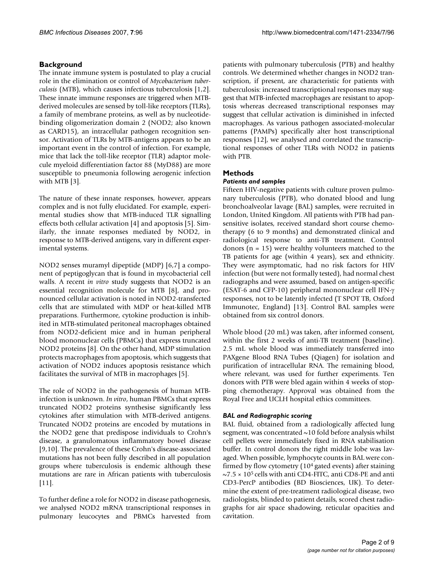# **Background**

The innate immune system is postulated to play a crucial role in the elimination or control of *Mycobacterium tuberculosis* (MTB), which causes infectious tuberculosis [1,2]. These innate immune responses are triggered when MTBderived molecules are sensed by toll-like receptors (TLRs), a family of membrane proteins, as well as by nucleotidebinding oligomerization domain 2 (NOD2; also known as CARD15), an intracellular pathogen recognition sensor. Activation of TLRs by MTB-antigens appears to be an important event in the control of infection. For example, mice that lack the toll-like receptor (TLR) adaptor molecule myeloid differentiation factor 88 (MyD88) are more susceptible to pneumonia following aerogenic infection with MTB [3].

The nature of these innate responses, however, appears complex and is not fully elucidated. For example, experimental studies show that MTB-induced TLR signalling effects both cellular activation [4] and apoptosis [5]. Similarly, the innate responses mediated by NOD2, in response to MTB-derived antigens, vary in different experimental systems.

NOD2 senses muramyl dipeptide (MDP) [6,7] a component of peptigoglycan that is found in mycobacterial cell walls. A recent *in vitro* study suggests that NOD2 is an essential recognition molecule for MTB [8], and pronounced cellular activation is noted in NOD2-transfected cells that are stimulated with MDP or heat-killed MTB preparations. Furthermore, cytokine production is inhibited in MTB-stimulated peritoneal macrophages obtained from NOD2-deficient mice and in human peripheral blood mononuclear cells (PBMCs) that express truncated NOD2 proteins [8]. On the other hand, MDP stimulation protects macrophages from apoptosis, which suggests that activation of NOD2 induces apoptosis resistance which facilitates the survival of MTB in macrophages [5].

The role of NOD2 in the pathogenesis of human MTBinfection is unknown. *In vitro*, human PBMCs that express truncated NOD2 proteins synthesise significantly less cytokines after stimulation with MTB-derived antigens. Truncated NOD2 proteins are encoded by mutations in the NOD2 gene that predispose individuals to Crohn's disease, a granulomatous inflammatory bowel disease [9,10]. The prevalence of these Crohn's disease-associated mutations has not been fully described in all population groups where tuberculosis is endemic although these mutations are rare in African patients with tuberculosis  $[11]$ .

To further define a role for NOD2 in disease pathogenesis, we analysed NOD2 mRNA transcriptional responses in pulmonary leucocytes and PBMCs harvested from

patients with pulmonary tuberculosis (PTB) and healthy controls. We determined whether changes in NOD2 transcription, if present, are characteristic for patients with tuberculosis: increased transcriptional responses may suggest that MTB-infected macrophages are resistant to apoptosis whereas decreased transcriptional responses may suggest that cellular activation is diminished in infected macrophages. As various pathogen associated-molecular patterns (PAMPs) specifically alter host transcriptional responses [12], we analysed and correlated the transcriptional responses of other TLRs with NOD2 in patients with PTB.

# **Methods**

# *Patients and samples*

Fifteen HIV-negative patients with culture proven pulmonary tuberculosis (PTB), who donated blood and lung bronchoalveolar lavage (BAL) samples, were recruited in London, United Kingdom. All patients with PTB had pansensitive isolates, received standard short course chemotherapy (6 to 9 months) and demonstrated clinical and radiological response to anti-TB treatment. Control donors ( $n = 15$ ) were healthy volunteers matched to the TB patients for age (within 4 years), sex and ethnicity. They were asymptomatic, had no risk factors for HIV infection (but were not formally tested), had normal chest radiographs and were assumed, based on antigen-specific (ESAT-6 and CFP-10) peripheral mononuclear cell IFN-γ responses, not to be latently infected (T SPOT TB, Oxford Immunotec, England) [13]. Control BAL samples were obtained from six control donors.

Whole blood (20 mL) was taken, after informed consent, within the first 2 weeks of anti-TB treatment (baseline). 2.5 mL whole blood was immediately transferred into PAXgene Blood RNA Tubes (Qiagen) for isolation and purification of intracellular RNA. The remaining blood, where relevant, was used for further experiments. Ten donors with PTB were bled again within 4 weeks of stopping chemotherapy. Approval was obtained from the Royal Free and UCLH hospital ethics committees.

# *BAL and Radiographic scoring*

BAL fluid, obtained from a radiologically affected lung segment, was concentrated  $\sim$ 10 fold before analysis whilst cell pellets were immediately fixed in RNA stabilisation buffer. In control donors the right middle lobe was lavaged. When possible, lymphocyte counts in BAL were confirmed by flow cytometry (104 gated events) after staining  $\sim$ 7.5  $\times$  10<sup>5</sup> cells with anti CD4-FITC, anti CD8-PE and anti CD3-PercP antibodies (BD Biosciences, UK). To determine the extent of pre-treatment radiological disease, two radiologists, blinded to patient details, scored chest radiographs for air space shadowing, reticular opacities and cavitation.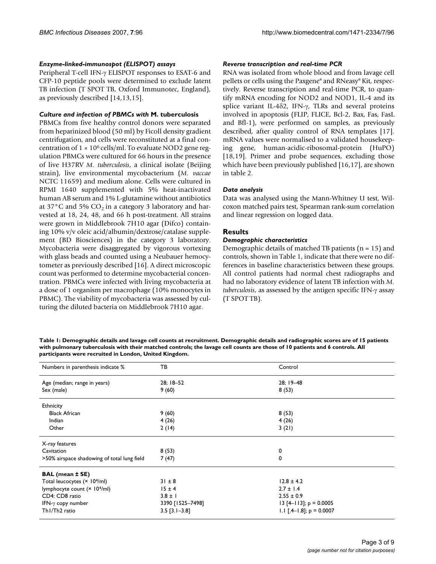#### *Enzyme-linked-immunospot (ELISPOT) assays*

Peripheral T-cell IFN-γ ELISPOT responses to ESAT-6 and CFP-10 peptide pools were determined to exclude latent TB infection (T SPOT TB, Oxford Immunotec, England), as previously described [14,13,15].

#### *Culture and infection of PBMCs with* **M. tuberculosis**

PBMCs from five healthy control donors were separated from heparinized blood (50 ml) by Ficoll density gradient centrifugation, and cells were reconstituted at a final concentration of  $1 \times 10^6$  cells/ml. To evaluate NOD2 gene regulation PBMCs were cultured for 66 hours in the presence of live H37RV *M. tuberculosis*, a clinical isolate (Beijing strain), live environmental mycobacterium (*M. vaccae* NCTC 11659) and medium alone. Cells were cultured in RPMI 1640 supplemented with 5% heat-inactivated human AB serum and 1% L-glutamine without antibiotics at  $37^{\circ}$ C and  $5\%$  CO<sub>2</sub> in a category 3 laboratory and harvested at 18, 24, 48, and 66 h post-treatment. All strains were grown in Middlebrook 7H10 agar (Difco) containing 10% v/v oleic acid/albumin/dextrose/catalase supplement (BD Biosciences) in the category 3 laboratory. Mycobacteria were disaggregated by vigorous vortexing with glass beads and counted using a Neubauer hemocytometer as previously described [16]. A direct microscopic count was performed to determine mycobacterial concentration. PBMCs were infected with living mycobacteria at a dose of 1 organism per macrophage (10% monocytes in PBMC). The viability of mycobacteria was assessed by culturing the diluted bacteria on Middlebrook 7H10 agar.

#### *Reverse transcription and real-time PCR*

RNA was isolated from whole blood and from lavage cell pellets or cells using the Paxgene® and RNeasy® Kit, respectively. Reverse transcription and real-time PCR, to quantify mRNA encoding for NOD2 and NOD1, IL-4 and its splice variant IL-4δ2, IFN-γ, TLRs and several proteins involved in apoptosis (FLIP, FLICE, Bcl-2, Bax, Fas, FasL and Bfl-1), were performed on samples, as previously described, after quality control of RNA templates [17]. mRNA values were normalised to a validated housekeeping gene, human-acidic-ribosomal-protein (HuPO) [18,19]. Primer and probe sequences, excluding those which have been previously published [16,17], are shown in table 2.

# *Data analysis*

Data was analysed using the Mann-Whitney U test, Wilcoxon matched pairs test, Spearman rank-sum correlation and linear regression on logged data.

# **Results**

#### *Demographic characteristics*

Demographic details of matched TB patients ( $n = 15$ ) and controls, shown in Table 1, indicate that there were no differences in baseline characteristics between these groups. All control patients had normal chest radiographs and had no laboratory evidence of latent TB infection with *M. tuberculosis*, as assessed by the antigen specific IFN-γ assay (T SPOT TB).

**Table 1: Demographic details and lavage cell counts at recruitment. Demographic details and radiographic scores are of 15 patients with pulmonary tuberculosis with their matched controls; the lavage cell counts are those of 10 patients and 6 controls. All participants were recruited in London, United Kingdom.**

| Numbers in parenthesis indicate %           | ТB               | Control                    |
|---------------------------------------------|------------------|----------------------------|
| Age (median; range in years)                | 28; 18-52        | 28; 19 - 48                |
| Sex (male)                                  | 9(60)            | 8(53)                      |
| Ethnicity                                   |                  |                            |
| <b>Black African</b>                        | 9(60)            | 8(53)                      |
| Indian                                      | 4(26)            | 4(26)                      |
| Other                                       | 2(14)            | 3(21)                      |
| X-ray features                              |                  |                            |
| Cavitation                                  | 8(53)            | 0                          |
| >50% airspace shadowing of total lung field | 7(47)            | 0                          |
| <b>BAL</b> (mean ± SE)                      |                  |                            |
| Total leucocytes (× 104/ml)                 | $31 \pm 8$       | $12.8 \pm 4.2$             |
| lymphocyte count (× 10 <sup>4</sup> /ml)    | 15±4             | $2.7 \pm 1.4$              |
| CD4: CD8 ratio                              | $3.8 \pm 1$      | $2.55 \pm 0.9$             |
| IFN- $\gamma$ copy number                   | 3390 [1525-7498] | 13 [4-113]; $p = 0.0005$   |
| Th <sub>1</sub> /Th <sub>2</sub> ratio      | $3.5$ [3.1-3.8]  | 1.1 $[A-1.8]$ ; p = 0.0007 |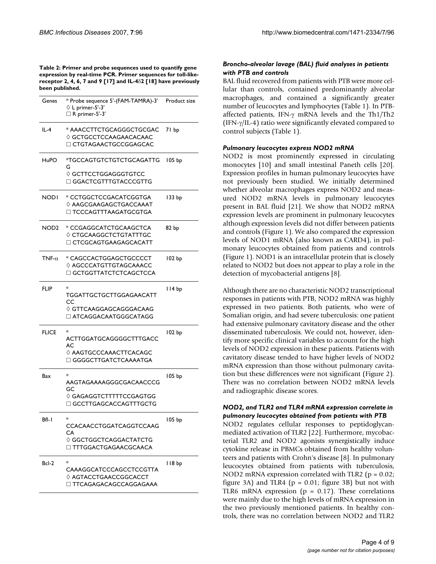**Table 2: Primer and probe sequences used to quantify gene expression by real-time PCR. Primer sequences for toll-likereceptor 2, 4, 6, 7 and 9 [17] and IL-4**δ**2 [18] have previously been published.**

| Genes            | * Probe sequence 5'-(FAM-TAMRA)-3'<br>$\lozenge$ L primer-5'-3'<br>$\Box$ R primer-5'-3'                            | Product size      |
|------------------|---------------------------------------------------------------------------------------------------------------------|-------------------|
| $IL-4$           | * AAACCTTCTGCAGGGCTGCGAC<br>$\Diamond$ <code>GCTGCCTCCAAGAACACAAC</code><br>$\Box$ CTGTAGAACTGCCGGAGCAC             | 71 bp             |
| HuPO             | *TGCCAGTGTCTGTCTGCAGATTG<br>G<br>$\Diamond$ <code>GCTTCCTGGAGGGTGTCC</code><br>$\Box$ GGACTCGTTTGTACCCGTTG          | 105 bp            |
| NODI             | * CCTGGCTCCGACATCGGTGA<br>$\Diamond$ <code>AAGCGAAGAGCTGACCAAAT</code><br>$\Box$ <code>TCCCAGTTTAAGATGCGTGA</code>  | 133 bp            |
| NOD <sub>2</sub> | * CCGAGGCATCTGCAAGCTCA<br>$\Diamond$ CTGCAAGGCTCTGTATTTGC<br>□ CTCGCAGTGAAGAGCACATT                                 | 82 bp             |
| TNF- $\alpha$    | * CAGCCACTGGAGCTGCCCCT<br>$\Diamond$ <code>AGCCCATGTTGTAGCAAACC</code><br>$\Box$ <code>GCTGGTTATCTCTCAGCTCCA</code> | 102 <sub>bp</sub> |
| <b>FLIP</b>      | *<br>TGGATTGCTGCTTGGAGAACATT<br>CC<br>$\diamond$ GTTCAAGGAGCAGGGACAAG<br>$\sqcap$ ATCAGGACAATGGGCATAGG              | l I 4 bp          |
| <b>FLICE</b>     | *<br>ACTTGGATGCAGGGGCTTTGACC<br>AC<br>$\Diamond$ <code>AAGTGCCCAAACTTCACAGC</code><br>□ GGGGCTTGATCTCAAAATGA        | 102 bp            |
| Bax              | *<br>AAGTAGAAAAGGGCGACAACCCG<br>GC<br>$\Diamond$ <code>GAGAGGTCTTTTTCCGAGTGG</code><br>$\Box$ GCCTTGAGCACCAGTTTGCTG | 105 bp            |
| BfI- I           | CCACAACCTGGATCAGGTCCAAG<br>CA<br>$\Diamond$ GGCTGGCTCAGGACTATCTG<br>□ TTTGGACTGAGAACGCAACA                          | 105 bp            |
| Bcl-2            | *<br>CAAAGGCATCCCAGCCTCCGTTA<br>$\Diamond$ <code>AGTACCTGAACCGGCACCT</code><br>$\square$ TTCAGAGACAGCCAGGAGAAA      | II8 bp            |

# *Broncho-alveolar lavage (BAL) fluid analyses in patients with PTB and controls*

BAL fluid recovered from patients with PTB were more cellular than controls, contained predominantly alveolar macrophages, and contained a significantly greater number of leucocytes and lymphocytes (Table 1). In PTBaffected patients, IFN-γ mRNA levels and the Th1/Th2 (IFN-γ/IL-4) ratio were significantly elevated compared to control subjects (Table 1).

#### *Pulmonary leucocytes express NOD2 mRNA*

NOD2 is most prominently expressed in circulating monocytes [10] and small intestinal Paneth cells [20]. Expression profiles in human pulmonary leucocytes have not previously been studied. We initially determined whether alveolar macrophages express NOD2 and measured NOD2 mRNA levels in pulmonary leucocytes present in BAL fluid [21]. We show that NOD2 mRNA expression levels are prominent in pulmonary leucocytes although expression levels did not differ between patients and controls (Figure 1). We also compared the expression levels of NOD1 mRNA (also known as CARD4), in pulmonary leucocytes obtained from patients and controls (Figure 1). NOD1 is an intracellular protein that is closely related to NOD2 but does not appear to play a role in the detection of mycobacterial antigens [8].

Although there are no characteristic NOD2 transcriptional responses in patients with PTB, NOD2 mRNA was highly expressed in two patients. Both patients, who were of Somalian origin, and had severe tuberculosis: one patient had extensive pulmonary cavitatory disease and the other disseminated tuberculosis. We could not, however, identify more specific clinical variables to account for the high levels of NOD2 expression in these patients. Patients with cavitatory disease tended to have higher levels of NOD2 mRNA expression than those without pulmonary cavitation but these differences were not significant (Figure 2). There was no correlation between NOD2 mRNA levels and radiographic disease scores.

#### *NOD2, and TLR2 and TLR4 mRNA expression correlate in pulmonary leucocytes obtained from patients with PTB*

NOD2 regulates cellular responses to peptidoglycanmediated activation of TLR2 [22]. Furthermore, mycobacterial TLR2 and NOD2 agonists synergistically induce cytokine release in PBMCs obtained from healthy volunteers and patients with Crohn's disease [8]. In pulmonary leucocytes obtained from patients with tuberculosis, NOD2 mRNA expression correlated with TLR2 ( $p = 0.02$ ; figure 3A) and TLR4 ( $p = 0.01$ ; figure 3B) but not with TLR6 mRNA expression ( $p = 0.17$ ). These correlations were mainly due to the high levels of mRNA expression in the two previously mentioned patients. In healthy controls, there was no correlation between NOD2 and TLR2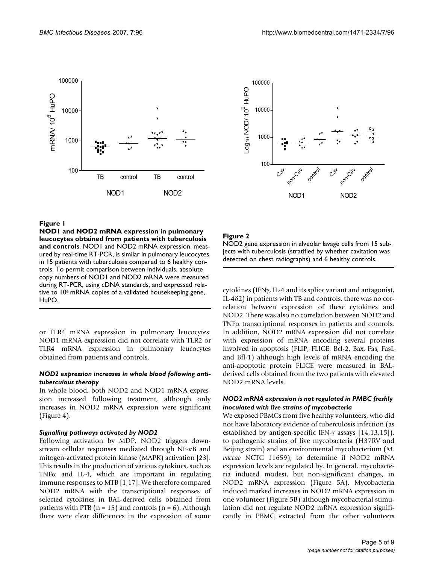



# Figure 1

**NOD1 and NOD2 mRNA expression in pulmonary leucocytes obtained from patients with tuberculosis and controls**. NOD1 and NOD2 mRNA expression, measured by real-time RT-PCR, is similar in pulmonary leucocytes in 15 patients with tuberculosis compared to 6 healthy controls. To permit comparison between individuals, absolute copy numbers of NOD1 and NOD2 mRNA were measured during RT-PCR, using cDNA standards, and expressed relative to 10<sup>6</sup> mRNA copies of a validated housekeeping gene, HuPO.

or TLR4 mRNA expression in pulmonary leucocytes. NOD1 mRNA expression did not correlate with TLR2 or TLR4 mRNA expression in pulmonary leucocytes obtained from patients and controls.

#### *NOD2 expression increases in whole blood following antituberculous therapy*

In whole blood, both NOD2 and NOD1 mRNA expression increased following treatment, although only increases in NOD2 mRNA expression were significant (Figure 4).

# *Signalling pathways activated by NOD2*

Following activation by MDP, NOD2 triggers downstream cellular responses mediated through NF-κB and mitogen-activated protein kinase (MAPK) activation [23]. This results in the production of various cytokines, such as TNF $\alpha$  and IL-4, which are important in regulating immune responses to MTB [1,17]. We therefore compared NOD2 mRNA with the transcriptional responses of selected cytokines in BAL-derived cells obtained from patients with PTB ( $n = 15$ ) and controls ( $n = 6$ ). Although there were clear differences in the expression of some

# Figure 2

NOD2 gene expression in alveolar lavage cells from 15 subjects with tuberculosis (stratified by whether cavitation was detected on chest radiographs) and 6 healthy controls.

cytokines (IFNγ, IL-4 and its splice variant and antagonist, IL-4δ2) in patients with TB and controls, there was no correlation between expression of these cytokines and NOD2. There was also no correlation between NOD2 and TNFα transcriptional responses in patients and controls. In addition, NOD2 mRNA expression did not correlate with expression of mRNA encoding several proteins involved in apoptosis (FLIP, FLICE, Bcl-2, Bax, Fas, FasL and Bfl-1) although high levels of mRNA encoding the anti-apoptotic protein FLICE were measured in BALderived cells obtained from the two patients with elevated NOD2 mRNA levels.

# *NOD2 mRNA expression is not regulated in PMBC freshly inoculated with live strains of mycobacteria*

We exposed PBMCs from five healthy volunteers, who did not have laboratory evidence of tuberculosis infection (as established by antigen-specific IFN-γ assays [14,13,15]), to pathogenic strains of live mycobacteria (H37RV and Beijing strain) and an environmental mycobacterium (*M. vaccae* NCTC 11659), to determine if NOD2 mRNA expression levels are regulated by. In general, mycobacteria induced modest, but non-significant changes, in NOD2 mRNA expression (Figure 5A). Mycobacteria induced marked increases in NOD2 mRNA expression in one volunteer (Figure 5B) although mycobacterial stimulation did not regulate NOD2 mRNA expression significantly in PBMC extracted from the other volunteers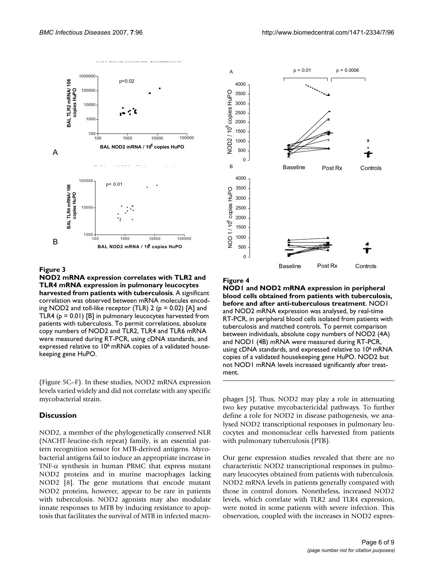



#### Figure 3

**NOD2 mRNA expression correlates with TLR2 and TLR4 mRNA expression in pulmonary leucocytes harvested from patients with tuberculosis**. A significant correlation was observed between mRNA molecules encoding NOD2 and toll-like receptor (TLR) 2 ( $p = 0.02$ ) [A] and TLR4 (p = 0.01) [B] in pulmonary leucocytes harvested from patients with tuberculosis. To permit correlations, absolute copy numbers of NOD2 and TLR2, TLR4 and TLR6 mRNA were measured during RT-PCR, using cDNA standards, and expressed relative to 10<sup>6</sup> mRNA copies of a validated housekeeping gene HuPO.

(Figure 5C–F). In these studies, NOD2 mRNA expression levels varied widely and did not correlate with any specific mycobacterial strain.

#### **Discussion**

NOD2, a member of the phylogenetically conserved NLR (NACHT-leucine-rich repeat) family, is an essential pattern recognition sensor for MTB-derived antigens. Mycobacterial antigens fail to induce an appropriate increase in TNF- $\alpha$  synthesis in human PBMC that express mutant NOD2 proteins and in murine macrophages lacking NOD2 [8]. The gene mutations that encode mutant NOD2 proteins, however, appear to be rare in patients with tuberculosis. NOD2 agonists may also modulate innate responses to MTB by inducing resistance to apoptosis that facilitates the survival of MTB in infected macro-



#### Figure 4

**NOD1 and NOD2 mRNA expression in peripheral blood cells obtained from patients with tuberculosis, before and after anti-tuberculous treatment**. NOD1 and NOD2 mRNA expression was analysed, by real-time RT-PCR, in peripheral blood cells isolated from patients with tuberculosis and matched controls. To permit comparison between individuals, absolute copy numbers of NOD2 (4A) and NOD1 (4B) mRNA were measured during RT-PCR, using cDNA standards, and expressed relative to 106 mRNA copies of a validated housekeeping gene HuPO. NOD2 but not NOD1 mRNA levels increased significantly after treatment.

phages [5]. Thus, NOD2 may play a role in attenuating two key putative mycobactericidal pathways. To further define a role for NOD2 in disease pathogenesis, we analysed NOD2 transcriptional responses in pulmonary leucocytes and mononuclear cells harvested from patients with pulmonary tuberculosis (PTB).

Our gene expression studies revealed that there are no characteristic NOD2 transcriptional responses in pulmonary leucocytes obtained from patients with tuberculosis. NOD2 mRNA levels in patients generally compared with those in control donors. Nonetheless, increased NOD2 levels, which correlate with TLR2 and TLR4 expression, were noted in some patients with severe infection. This observation, coupled with the increases in NOD2 expres-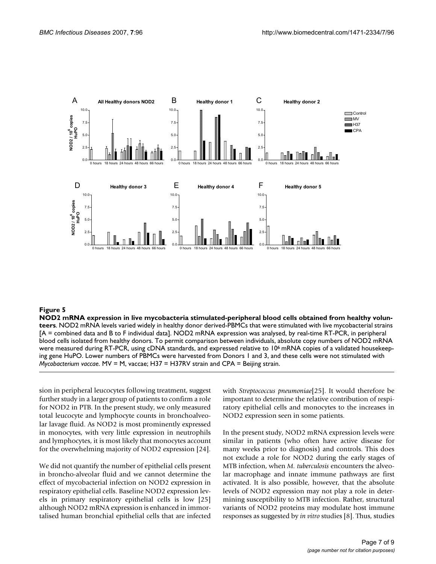

#### **Figure 5** NOD2 mRNA expression in live mycobacteria stimulated-peripheral blood cells obtained from healthy volunteers obtained from healthy volunteers obtained from healthy volunteers obtained from healthy volunteers obt

**NOD2 mRNA expression in live mycobacteria stimulated-peripheral blood cells obtained from healthy volunteers**. NOD2 mRNA levels varied widely in healthy donor derived-PBMCs that were stimulated with live mycobacterial strains [A = combined data and B to F individual data]. NOD2 mRNA expression was analysed, by real-time RT-PCR, in peripheral blood cells isolated from healthy donors. To permit comparison between individuals, absolute copy numbers of NOD2 mRNA were measured during RT-PCR, using cDNA standards, and expressed relative to 10<sup>6</sup> mRNA copies of a validated housekeeping gene HuPO. Lower numbers of PBMCs were harvested from Donors 1 and 3, and these cells were not stimulated with *Mycobacterium vaccae*. MV = M, vaccae; H37 = H37RV strain and CPA = Beijing strain.

sion in peripheral leucocytes following treatment, suggest further study in a larger group of patients to confirm a role for NOD2 in PTB. In the present study, we only measured total leucocyte and lymphocyte counts in bronchoalveolar lavage fluid. As NOD2 is most prominently expressed in monocytes, with very little expression in neutrophils and lymphocytes, it is most likely that monocytes account for the overwhelming majority of NOD2 expression [24].

We did not quantify the number of epithelial cells present in broncho-alveolar fluid and we cannot determine the effect of mycobacterial infection on NOD2 expression in respiratory epithelial cells. Baseline NOD2 expression levels in primary respiratory epithelial cells is low [25] although NOD2 mRNA expression is enhanced in immortalised human bronchial epithelial cells that are infected with *Streptococcus pneumoniae*[25]. It would therefore be important to determine the relative contribution of respiratory epithelial cells and monocytes to the increases in NOD2 expression seen in some patients.

In the present study, NOD2 mRNA expression levels were similar in patients (who often have active disease for many weeks prior to diagnosis) and controls. This does not exclude a role for NOD2 during the early stages of MTB infection, when *M. tuberculosis* encounters the alveolar macrophage and innate immune pathways are first activated. It is also possible, however, that the absolute levels of NOD2 expression may not play a role in determining susceptibility to MTB infection. Rather, structural variants of NOD2 proteins may modulate host immune responses as suggested by *in vitro* studies [8]. Thus, studies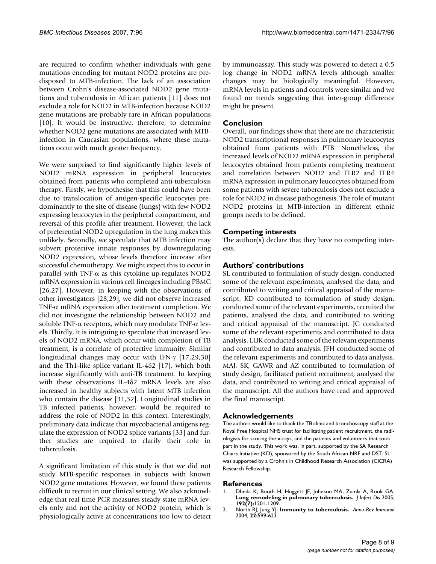are required to confirm whether individuals with gene mutations encoding for mutant NOD2 proteins are predisposed to MTB-infection. The lack of an association between Crohn's disease-associated NOD2 gene mutations and tuberculosis in African patients [11] does not exclude a role for NOD2 in MTB-infection because NOD2 gene mutations are probably rare in African populations [10]. It would be instructive, therefore, to determine whether NOD2 gene mutations are associated with MTBinfection in Caucasian populations, where these mutations occur with much greater frequency.

We were surprised to find significantly higher levels of NOD2 mRNA expression in peripheral leucocytes obtained from patients who completed anti-tuberculosis therapy. Firstly, we hypothesise that this could have been due to translocation of antigen-specific leucocytes predominantly to the site of disease (lungs) with few NOD2 expressing leucocytes in the peripheral compartment, and reversal of this profile after treatment. However, the lack of preferential NOD2 upregulation in the lung makes this unlikely. Secondly, we speculate that MTB infection may subvert protective innate responses by downregulating NOD2 expression, whose levels therefore increase after successful chemotherapy. We might expect this to occur in parallel with TNF- $\alpha$  as this cytokine up-regulates NOD2 mRNA expression in various cell lineages including PBMC [26,27]. However, in keeping with the observations of other investigators [28,29], we did not observe increased TNF-α mRNA expression after treatment completion. We did not investigate the relationship between NOD2 and soluble TNF- $\alpha$  receptors, which may modulate TNF- $\alpha$  levels. Thirdly, it is intriguing to speculate that increased levels of NOD2 mRNA, which occur with completion of TB treatment, is a correlate of protective immunity. Similar longitudinal changes may occur with IFN-γ [17,29,30] and the Th1-like splice variant IL-4δ2 [17], which both increase significantly with anti-TB treatment. In keeping with these observations IL-4δ2 mRNA levels are also increased in healthy subjects with latent MTB infection who contain the disease [31,32]. Longitudinal studies in TB infected patients, however, would be required to address the role of NOD2 in this context. Interestingly, preliminary data indicate that mycobacterial antigens regulate the expression of NOD2 splice variants [33] and further studies are required to clarify their role in tuberculosis.

A significant limitation of this study is that we did not study MTB-specific responses in subjects with known NOD2 gene mutations. However, we found these patients difficult to recruit in our clinical setting. We also acknowledge that real time PCR measures steady state mRNA levels only and not the activity of NOD2 protein, which is physiologically active at concentrations too low to detect by immunoassay. This study was powered to detect a 0.5 log change in NOD2 mRNA levels although smaller changes may be biologically meaningful. However, mRNA levels in patients and controls were similar and we found no trends suggesting that inter-group difference might be present.

# **Conclusion**

Overall, our findings show that there are no characteristic NOD2 transcriptional responses in pulmonary leucocytes obtained from patients with PTB. Nonetheless, the increased levels of NOD2 mRNA expression in peripheral leucocytes obtained from patients completing treatment and correlation between NOD2 and TLR2 and TLR4 mRNA expression in pulmonary leucocytes obtained from some patients with severe tuberculosis does not exclude a role for NOD2 in disease pathogenesis. The role of mutant NOD2 proteins in MTB-infection in different ethnic groups needs to be defined.

# **Competing interests**

The author(s) declare that they have no competing interests.

# **Authors' contributions**

SL contributed to formulation of study design, conducted some of the relevant experiments, analysed the data, and contributed to writing and critical appraisal of the manuscript. KD contributed to formulation of study design, conducted some of the relevant experiments, recruited the patients, analysed the data, and contributed to writing and critical appraisal of the manuscript. JC conducted some of the relevant experiments and contributed to data analysis. LUK conducted some of the relevant experiments and contributed to data analysis. JFH conducted some of the relevant experiments and contributed to data analysis. MAJ, SK, GAWR and AZ contributed to formulation of study design, facilitated patient recruitment, analysed the data, and contributed to writing and critical appraisal of the manuscript. All the authors have read and approved the final manuscript.

# **Acknowledgements**

The authors would like to thank the TB clinic and bronchoscopy staff at the Royal Free Hospital NHS trust for facilitating patient recruitment, the radiologists for scoring the x-rays, and the patients and volunteers that took part in the study. This work was, in part, supported by the SA Research Chairs Initiative (KD), sponsored by the South African NRF and DST. SL was supported by a Crohn's in Childhood Research Association (CICRA) Research Fellowship.

#### **References**

- 1. Dheda K, Booth H, Huggett JF, Johnson MA, Zumla A, Rook GA: **[Lung remodeling in pulmonary tuberculosis.](http://www.ncbi.nlm.nih.gov/entrez/query.fcgi?cmd=Retrieve&db=PubMed&dopt=Abstract&list_uids=16136463)** *J Infect Dis* 2005, **192(7):**1201-1209.
- 2. North RJ, Jung YJ: **[Immunity to tuberculosis.](http://www.ncbi.nlm.nih.gov/entrez/query.fcgi?cmd=Retrieve&db=PubMed&dopt=Abstract&list_uids=15032590)** *Annu Rev Immunol* 2004, **22:**599-623.